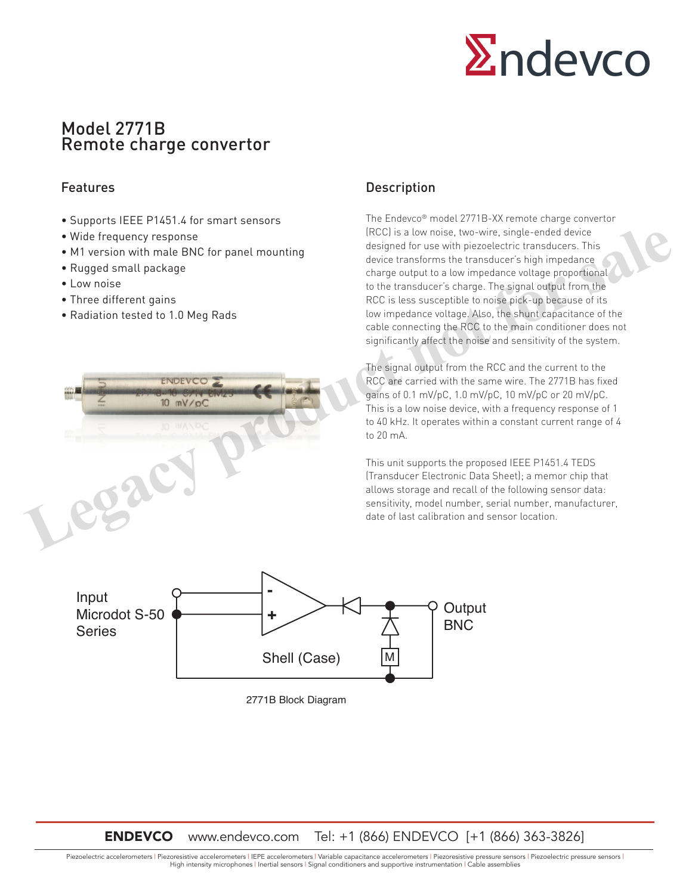

# Model 2771B Remote charge convertor

# Features

- Supports IEEE P1451.4 for smart sensors
- Wide frequency response
- M1 version with male BNC for panel mounting
- Rugged small package
- Low noise

Series

- Three different gains
- Radiation tested to 1.0 Meg Rads



# **Description**

The Endevco® model 2771B-XX remote charge convertor (RCC) is a low noise, two-wire, single-ended device designed for use with piezoelectric transducers. This device transforms the transducer's high impedance charge output to a low impedance voltage proportional to the transducer's charge. The signal output from the RCC is less susceptible to noise pick-up because of its low impedance voltage. Also, the shunt capacitance of the cable connecting the RCC to the main conditioner does not significantly affect the noise and sensitivity of the system.

The signal output from the RCC and the current to the RCC are carried with the same wire. The 2771B has fixed gains of 0.1 mV/pC, 1.0 mV/pC, 10 mV/pC or 20 mV/pC. This is a low noise device, with a frequency response of 1 to 40 kHz. It operates within a constant current range of 4 to 20 mA.

This unit supports the proposed IEEE P1451.4 TEDS (Transducer Electronic Data Sheet); a memor chip that allows storage and recall of the following sensor data: sensitivity, model number, serial number, manufacturer, date of last calibration and sensor location.

> **Output BNC**



M

Shell (Case)

2771B Block Diagram

Piezoelectric accelerometers | Piezoresistive accelerometers | IEPE accelerometers | Variable capacitance accelerometers | Piezoresistive pressure sensors | Piezoelectric pressure sensors | High intensity microphones | Inertial sensors | Signal conditioners and supportive instrumentation | Cable assemblies